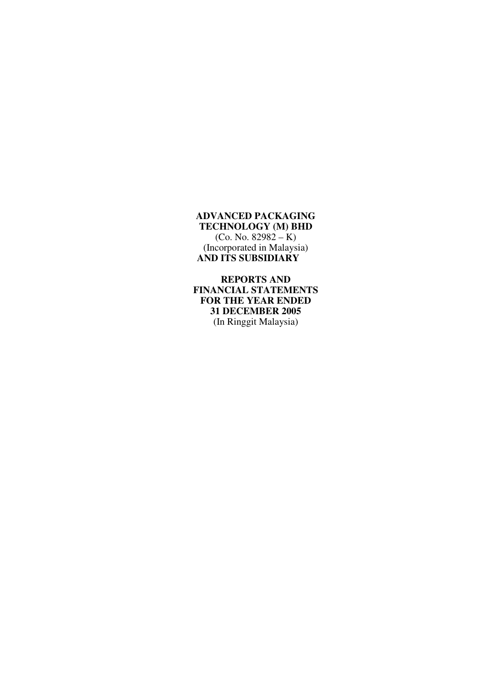**REPORTS AND FINANCIAL STATEMENTS FOR THE YEAR ENDED 31 DECEMBER 2005**  (In Ringgit Malaysia)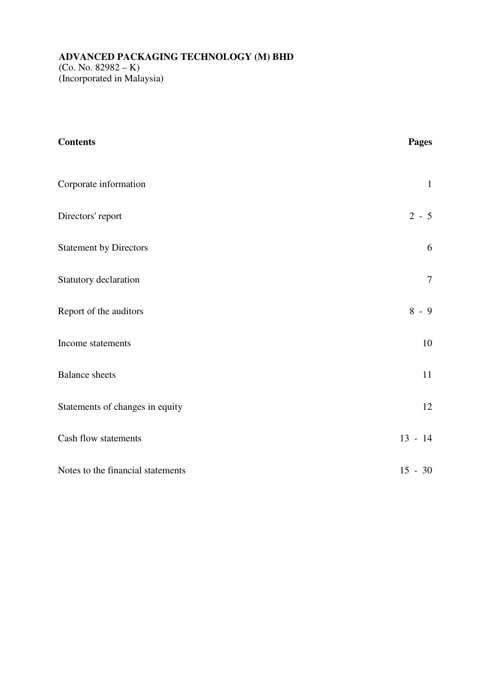#### **ADVANCED PACKAGING TECHNOLOGY (M) BHD**  (Co. No. 82982 – K) (Incorporated in Malaysia)

| <b>Contents</b>                   | <b>Pages</b>   |
|-----------------------------------|----------------|
| Corporate information             | $\mathbf{1}$   |
| Directors' report                 | $2 - 5$        |
| <b>Statement by Directors</b>     | 6              |
| Statutory declaration             | $\overline{7}$ |
| Report of the auditors            | $8 - 9$        |
| Income statements                 | $10\,$         |
| <b>Balance</b> sheets             | 11             |
| Statements of changes in equity   | 12             |
| Cash flow statements              | $13 - 14$      |
| Notes to the financial statements | $15 - 30$      |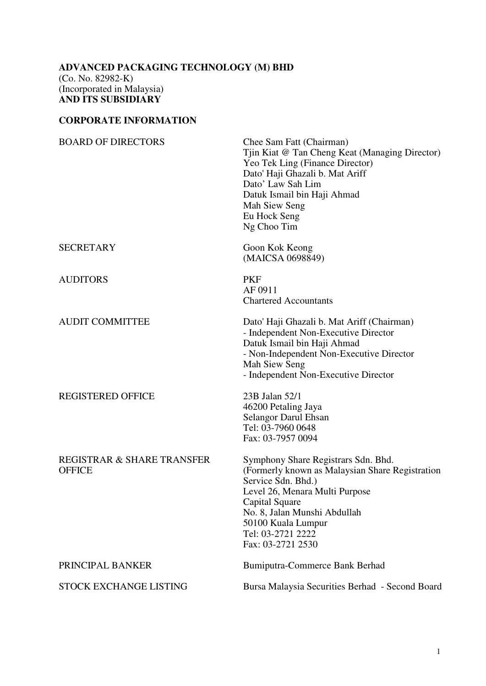## **CORPORATE INFORMATION**

| <b>BOARD OF DIRECTORS</b>                   | Chee Sam Fatt (Chairman)<br>Tiin Kiat @ Tan Cheng Keat (Managing Director)<br>Yeo Tek Ling (Finance Director)<br>Dato' Haji Ghazali b. Mat Ariff<br>Dato' Law Sah Lim<br>Datuk Ismail bin Haji Ahmad<br>Mah Siew Seng<br>Eu Hock Seng<br>Ng Choo Tim             |
|---------------------------------------------|------------------------------------------------------------------------------------------------------------------------------------------------------------------------------------------------------------------------------------------------------------------|
| <b>SECRETARY</b>                            | Goon Kok Keong<br>(MAICSA 0698849)                                                                                                                                                                                                                               |
| <b>AUDITORS</b>                             | <b>PKF</b><br>AF 0911<br><b>Chartered Accountants</b>                                                                                                                                                                                                            |
| <b>AUDIT COMMITTEE</b>                      | Dato' Haji Ghazali b. Mat Ariff (Chairman)<br>- Independent Non-Executive Director<br>Datuk Ismail bin Haji Ahmad<br>- Non-Independent Non-Executive Director<br>Mah Siew Seng<br>- Independent Non-Executive Director                                           |
| <b>REGISTERED OFFICE</b>                    | 23B Jalan 52/1<br>46200 Petaling Jaya<br><b>Selangor Darul Ehsan</b><br>Tel: 03-7960 0648<br>Fax: 03-7957 0094                                                                                                                                                   |
| REGISTRAR & SHARE TRANSFER<br><b>OFFICE</b> | Symphony Share Registrars Sdn. Bhd.<br>(Formerly known as Malaysian Share Registration<br>Service Sdn. Bhd.)<br>Level 26, Menara Multi Purpose<br>Capital Square<br>No. 8, Jalan Munshi Abdullah<br>50100 Kuala Lumpur<br>Tel: 03-2721 2222<br>Fax: 03-2721 2530 |
| PRINCIPAL BANKER                            | Bumiputra-Commerce Bank Berhad                                                                                                                                                                                                                                   |
| STOCK EXCHANGE LISTING                      | Bursa Malaysia Securities Berhad - Second Board                                                                                                                                                                                                                  |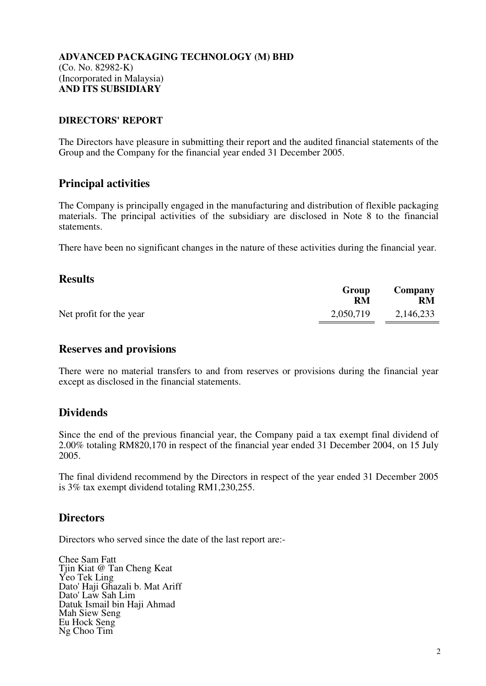#### **DIRECTORS' REPORT**

The Directors have pleasure in submitting their report and the audited financial statements of the Group and the Company for the financial year ended 31 December 2005.

## **Principal activities**

The Company is principally engaged in the manufacturing and distribution of flexible packaging materials. The principal activities of the subsidiary are disclosed in Note 8 to the financial statements.

There have been no significant changes in the nature of these activities during the financial year.

## **Results**

|                         | Group<br>RM | Company<br><b>RM</b> |
|-------------------------|-------------|----------------------|
| Net profit for the year | 2,050,719   | 2,146,233            |

## **Reserves and provisions**

There were no material transfers to and from reserves or provisions during the financial year except as disclosed in the financial statements.

## **Dividends**

Since the end of the previous financial year, the Company paid a tax exempt final dividend of 2.00% totaling RM820,170 in respect of the financial year ended 31 December 2004, on 15 July 2005.

The final dividend recommend by the Directors in respect of the year ended 31 December 2005 is 3% tax exempt dividend totaling RM1,230,255.

## **Directors**

Directors who served since the date of the last report are:-

Chee Sam Fatt Tjin Kiat @ Tan Cheng Keat Yeo Tek Ling Dato' Haji Ghazali b. Mat Ariff Dato' Law Sah Lim Datuk Ismail bin Haji Ahmad Mah Siew Seng Eu Hock Seng Ng Choo Tim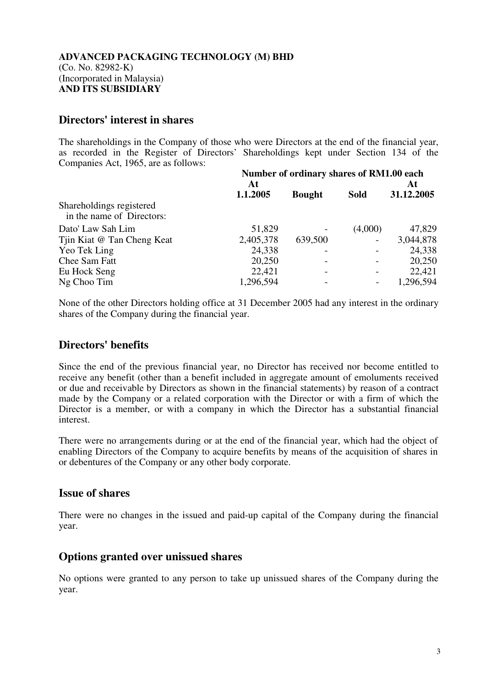## **Directors' interest in shares**

The shareholdings in the Company of those who were Directors at the end of the financial year, as recorded in the Register of Directors' Shareholdings kept under Section 134 of the Companies Act, 1965, are as follows:

|                                                       | Number of ordinary shares of RM1.00 each |               |             |            |  |
|-------------------------------------------------------|------------------------------------------|---------------|-------------|------------|--|
|                                                       | At                                       |               |             | At         |  |
|                                                       | 1.1.2005                                 | <b>Bought</b> | <b>Sold</b> | 31.12.2005 |  |
| Shareholdings registered<br>in the name of Directors: |                                          |               |             |            |  |
| Dato' Law Sah Lim                                     | 51,829                                   |               | (4,000)     | 47,829     |  |
| Tiin Kiat @ Tan Cheng Keat                            | 2,405,378                                | 639,500       |             | 3,044,878  |  |
| Yeo Tek Ling                                          | 24,338                                   |               |             | 24,338     |  |
| Chee Sam Fatt                                         | 20,250                                   |               |             | 20,250     |  |
| Eu Hock Seng                                          | 22,421                                   |               |             | 22,421     |  |
| Ng Choo Tim                                           | 1,296,594                                |               |             | 1,296,594  |  |

None of the other Directors holding office at 31 December 2005 had any interest in the ordinary shares of the Company during the financial year.

# **Directors' benefits**

Since the end of the previous financial year, no Director has received nor become entitled to receive any benefit (other than a benefit included in aggregate amount of emoluments received or due and receivable by Directors as shown in the financial statements) by reason of a contract made by the Company or a related corporation with the Director or with a firm of which the Director is a member, or with a company in which the Director has a substantial financial interest.

There were no arrangements during or at the end of the financial year, which had the object of enabling Directors of the Company to acquire benefits by means of the acquisition of shares in or debentures of the Company or any other body corporate.

## **Issue of shares**

There were no changes in the issued and paid-up capital of the Company during the financial year.

# **Options granted over unissued shares**

No options were granted to any person to take up unissued shares of the Company during the year.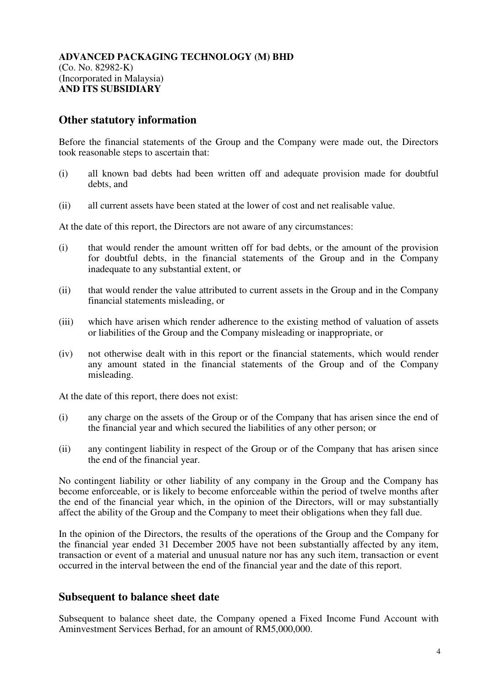## **Other statutory information**

Before the financial statements of the Group and the Company were made out, the Directors took reasonable steps to ascertain that:

- (i) all known bad debts had been written off and adequate provision made for doubtful debts, and
- (ii) all current assets have been stated at the lower of cost and net realisable value.

At the date of this report, the Directors are not aware of any circumstances:

- (i) that would render the amount written off for bad debts, or the amount of the provision for doubtful debts, in the financial statements of the Group and in the Company inadequate to any substantial extent, or
- (ii) that would render the value attributed to current assets in the Group and in the Company financial statements misleading, or
- (iii) which have arisen which render adherence to the existing method of valuation of assets or liabilities of the Group and the Company misleading or inappropriate, or
- (iv) not otherwise dealt with in this report or the financial statements, which would render any amount stated in the financial statements of the Group and of the Company misleading.

At the date of this report, there does not exist:

- (i) any charge on the assets of the Group or of the Company that has arisen since the end of the financial year and which secured the liabilities of any other person; or
- (ii) any contingent liability in respect of the Group or of the Company that has arisen since the end of the financial year.

No contingent liability or other liability of any company in the Group and the Company has become enforceable, or is likely to become enforceable within the period of twelve months after the end of the financial year which, in the opinion of the Directors, will or may substantially affect the ability of the Group and the Company to meet their obligations when they fall due.

In the opinion of the Directors, the results of the operations of the Group and the Company for the financial year ended 31 December 2005 have not been substantially affected by any item, transaction or event of a material and unusual nature nor has any such item, transaction or event occurred in the interval between the end of the financial year and the date of this report.

## **Subsequent to balance sheet date**

Subsequent to balance sheet date, the Company opened a Fixed Income Fund Account with Aminvestment Services Berhad, for an amount of RM5,000,000.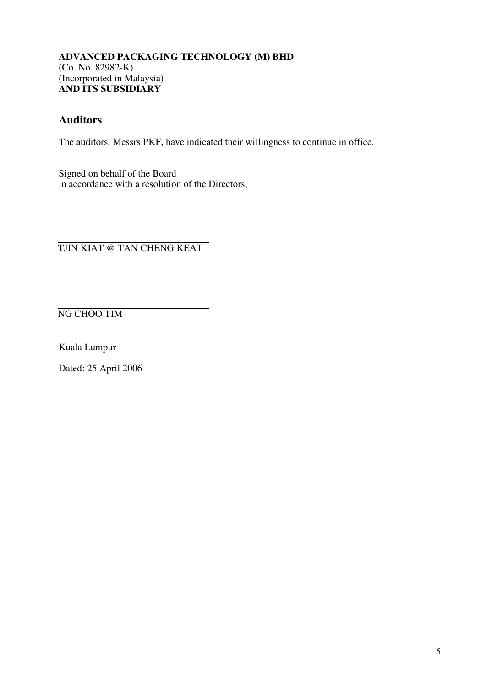# **Auditors**

The auditors, Messrs PKF, have indicated their willingness to continue in office.

Signed on behalf of the Board in accordance with a resolution of the Directors,

TJIN KIAT @ TAN CHENG KEAT

NG CHOO TIM

Kuala Lumpur

Dated: 25 April 2006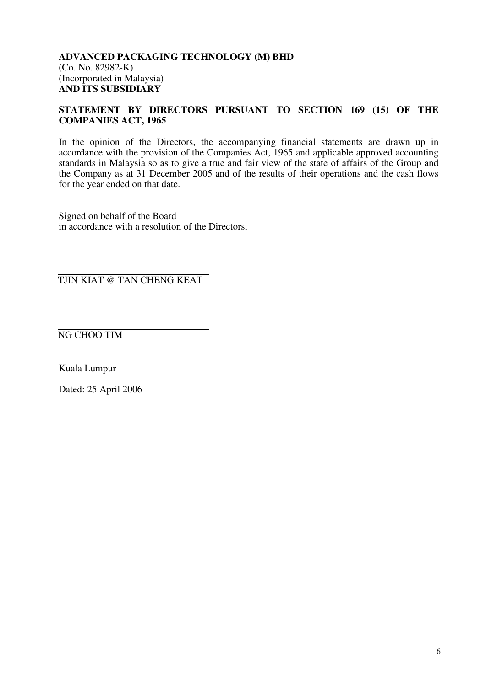#### **STATEMENT BY DIRECTORS PURSUANT TO SECTION 169 (15) OF THE COMPANIES ACT, 1965**

In the opinion of the Directors, the accompanying financial statements are drawn up in accordance with the provision of the Companies Act, 1965 and applicable approved accounting standards in Malaysia so as to give a true and fair view of the state of affairs of the Group and the Company as at 31 December 2005 and of the results of their operations and the cash flows for the year ended on that date.

Signed on behalf of the Board in accordance with a resolution of the Directors,

TJIN KIAT @ TAN CHENG KEAT

NG CHOO TIM

Kuala Lumpur

Dated: 25 April 2006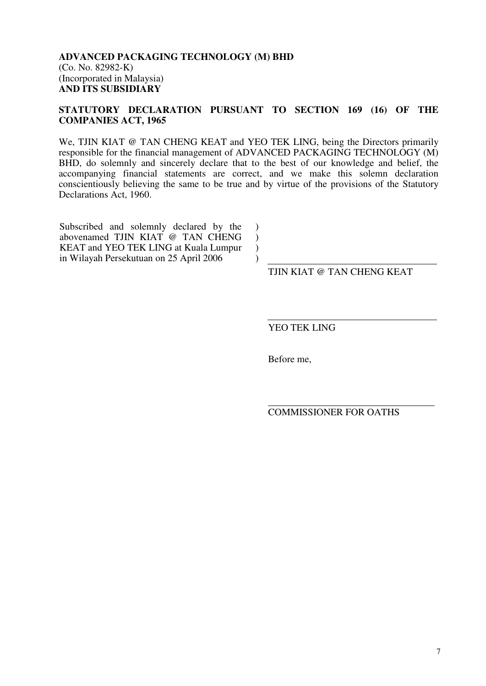#### **STATUTORY DECLARATION PURSUANT TO SECTION 169 (16) OF THE COMPANIES ACT, 1965**

We, TJIN KIAT @ TAN CHENG KEAT and YEO TEK LING, being the Directors primarily responsible for the financial management of ADVANCED PACKAGING TECHNOLOGY (M) BHD, do solemnly and sincerely declare that to the best of our knowledge and belief, the accompanying financial statements are correct, and we make this solemn declaration conscientiously believing the same to be true and by virtue of the provisions of the Statutory Declarations Act, 1960.

> ) ) ) )

Subscribed and solemnly declared by the abovenamed TJIN KIAT @ TAN CHENG KEAT and YEO TEK LING at Kuala Lumpur in Wilayah Persekutuan on 25 April 2006

TJIN KIAT @ TAN CHENG KEAT

YEO TEK LING

Before me,

\_\_\_\_\_\_\_\_\_\_\_\_\_\_\_\_\_\_\_\_\_\_\_\_\_\_\_\_\_\_\_\_\_\_ COMMISSIONER FOR OATHS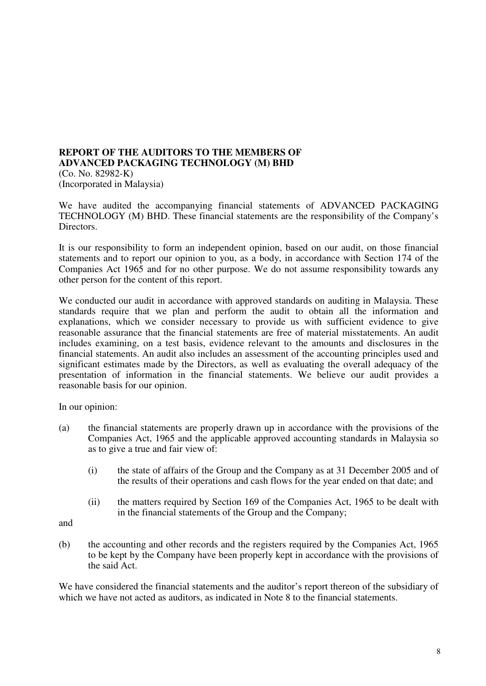#### **REPORT OF THE AUDITORS TO THE MEMBERS OF ADVANCED PACKAGING TECHNOLOGY (M) BHD**  (Co. No. 82982-K) (Incorporated in Malaysia)

We have audited the accompanying financial statements of ADVANCED PACKAGING TECHNOLOGY (M) BHD. These financial statements are the responsibility of the Company's Directors.

It is our responsibility to form an independent opinion, based on our audit, on those financial statements and to report our opinion to you, as a body, in accordance with Section 174 of the Companies Act 1965 and for no other purpose. We do not assume responsibility towards any other person for the content of this report.

We conducted our audit in accordance with approved standards on auditing in Malaysia. These standards require that we plan and perform the audit to obtain all the information and explanations, which we consider necessary to provide us with sufficient evidence to give reasonable assurance that the financial statements are free of material misstatements. An audit includes examining, on a test basis, evidence relevant to the amounts and disclosures in the financial statements. An audit also includes an assessment of the accounting principles used and significant estimates made by the Directors, as well as evaluating the overall adequacy of the presentation of information in the financial statements. We believe our audit provides a reasonable basis for our opinion.

In our opinion:

- (a) the financial statements are properly drawn up in accordance with the provisions of the Companies Act, 1965 and the applicable approved accounting standards in Malaysia so as to give a true and fair view of:
	- (i) the state of affairs of the Group and the Company as at 31 December 2005 and of the results of their operations and cash flows for the year ended on that date; and
	- (ii) the matters required by Section 169 of the Companies Act, 1965 to be dealt with in the financial statements of the Group and the Company;

and

(b) the accounting and other records and the registers required by the Companies Act, 1965 to be kept by the Company have been properly kept in accordance with the provisions of the said Act.

We have considered the financial statements and the auditor's report thereon of the subsidiary of which we have not acted as auditors, as indicated in Note 8 to the financial statements.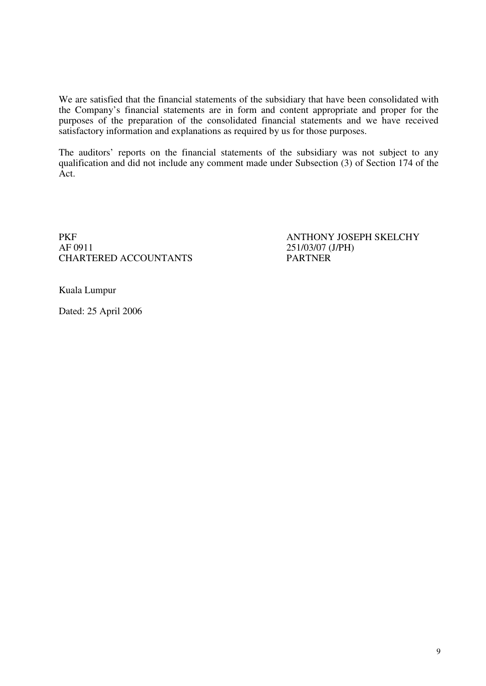We are satisfied that the financial statements of the subsidiary that have been consolidated with the Company's financial statements are in form and content appropriate and proper for the purposes of the preparation of the consolidated financial statements and we have received satisfactory information and explanations as required by us for those purposes.

The auditors' reports on the financial statements of the subsidiary was not subject to any qualification and did not include any comment made under Subsection (3) of Section 174 of the Act.

PKF<br>ANTHONY JOSEPH SKELCHY<br>AF 0911 251/03/07 (J/PH) CHARTERED ACCOUNTANTS

251/03/07 (J/PH)<br>PARTNER

Kuala Lumpur

Dated: 25 April 2006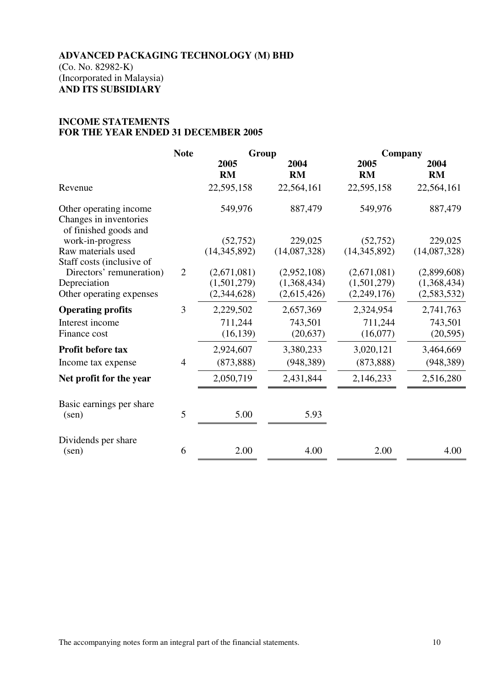#### **INCOME STATEMENTS FOR THE YEAR ENDED 31 DECEMBER 2005**

|                                                                           | <b>Note</b>    | Group        |                   | Company           |                   |
|---------------------------------------------------------------------------|----------------|--------------|-------------------|-------------------|-------------------|
|                                                                           |                | 2005<br>RM   | 2004<br><b>RM</b> | 2005<br><b>RM</b> | 2004<br><b>RM</b> |
| Revenue                                                                   |                | 22,595,158   | 22,564,161        | 22,595,158        | 22,564,161        |
| Other operating income<br>Changes in inventories<br>of finished goods and |                | 549,976      | 887,479           | 549,976           | 887,479           |
| work-in-progress                                                          |                | (52, 752)    | 229,025           | (52, 752)         | 229,025           |
| Raw materials used                                                        |                | (14,345,892) | (14,087,328)      | (14, 345, 892)    | (14,087,328)      |
| Staff costs (inclusive of                                                 |                |              |                   |                   |                   |
| Directors' remuneration)                                                  | $\overline{2}$ | (2,671,081)  | (2,952,108)       | (2,671,081)       | (2,899,608)       |
| Depreciation                                                              |                | (1,501,279)  | (1,368,434)       | (1,501,279)       | (1,368,434)       |
| Other operating expenses                                                  |                | (2,344,628)  | (2,615,426)       | (2,249,176)       | (2,583,532)       |
| <b>Operating profits</b>                                                  | 3              | 2,229,502    | 2,657,369         | 2,324,954         | 2,741,763         |
| Interest income                                                           |                | 711,244      | 743,501           | 711,244           | 743,501           |
| Finance cost                                                              |                | (16, 139)    | (20, 637)         | (16,077)          | (20, 595)         |
| Profit before tax                                                         |                | 2,924,607    | 3,380,233         | 3,020,121         | 3,464,669         |
| Income tax expense                                                        | $\overline{4}$ | (873, 888)   | (948, 389)        | (873, 888)        | (948, 389)        |
| Net profit for the year                                                   |                | 2,050,719    | 2,431,844         | 2,146,233         | 2,516,280         |
| Basic earnings per share                                                  |                |              |                   |                   |                   |
| $(\text{sen})$                                                            | 5              | 5.00         | 5.93              |                   |                   |
| Dividends per share                                                       |                |              |                   |                   |                   |
| $(\text{sen})$                                                            | 6              | 2.00         | 4.00              | 2.00              | 4.00              |
|                                                                           |                |              |                   |                   |                   |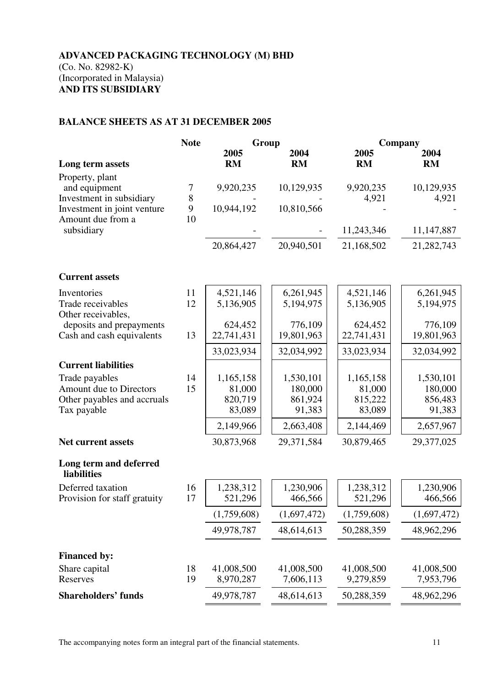#### **BALANCE SHEETS AS AT 31 DECEMBER 2005**

|                                                              | <b>Note</b> |                   | Group              |                    | Company             |
|--------------------------------------------------------------|-------------|-------------------|--------------------|--------------------|---------------------|
|                                                              |             | 2005              | 2004               | 2005               | 2004                |
| Long term assets                                             |             | <b>RM</b>         | <b>RM</b>          | <b>RM</b>          | <b>RM</b>           |
| Property, plant<br>and equipment<br>Investment in subsidiary | 7<br>8      | 9,920,235         | 10,129,935         | 9,920,235<br>4,921 | 10,129,935<br>4,921 |
| Investment in joint venture                                  | 9           | 10,944,192        | 10,810,566         |                    |                     |
| Amount due from a                                            | 10          |                   |                    |                    |                     |
| subsidiary                                                   |             |                   |                    | 11,243,346         | 11,147,887          |
|                                                              |             | 20,864,427        | 20,940,501         | 21,168,502         | 21,282,743          |
| <b>Current assets</b>                                        |             |                   |                    |                    |                     |
| Inventories                                                  | 11          | 4,521,146         | 6,261,945          | 4,521,146          | 6,261,945           |
| Trade receivables<br>Other receivables,                      | 12          | 5,136,905         | 5,194,975          | 5,136,905          | 5,194,975           |
| deposits and prepayments                                     |             | 624,452           | 776,109            | 624,452            | 776,109             |
| Cash and cash equivalents                                    | 13          | 22,741,431        | 19,801,963         | 22,741,431         | 19,801,963          |
|                                                              |             | 33,023,934        | 32,034,992         | 33,023,934         | 32,034,992          |
| <b>Current liabilities</b>                                   |             |                   |                    |                    |                     |
| Trade payables                                               | 14          | 1,165,158         | 1,530,101          | 1,165,158          | 1,530,101           |
| Amount due to Directors<br>Other payables and accruals       | 15          | 81,000<br>820,719 | 180,000<br>861,924 | 81,000<br>815,222  | 180,000<br>856,483  |
| Tax payable                                                  |             | 83,089            | 91,383             | 83,089             | 91,383              |
|                                                              |             | 2,149,966         | 2,663,408          | 2,144,469          | 2,657,967           |
| <b>Net current assets</b>                                    |             | 30,873,968        | 29,371,584         | 30,879,465         | 29,377,025          |
| Long term and deferred<br><b>liabilities</b>                 |             |                   |                    |                    |                     |
| Deferred taxation                                            | 16          | 1,238,312         | 1,230,906          | 1,238,312          | 1,230,906           |
| Provision for staff gratuity                                 | 17          | 521,296           | 466,566            | 521,296            | 466,566             |
|                                                              |             | (1,759,608)       | (1,697,472)        | (1,759,608)        | (1,697,472)         |
|                                                              |             | 49,978,787        | 48,614,613         | 50,288,359         | 48,962,296          |
| <b>Financed by:</b>                                          |             |                   |                    |                    |                     |
| Share capital                                                | 18          | 41,008,500        | 41,008,500         | 41,008,500         | 41,008,500          |
| Reserves                                                     | 19          | 8,970,287         | 7,606,113          | 9,279,859          | 7,953,796           |
| <b>Shareholders' funds</b>                                   |             | 49,978,787        | 48,614,613         | 50,288,359         | 48,962,296          |

The accompanying notes form an integral part of the financial statements. 11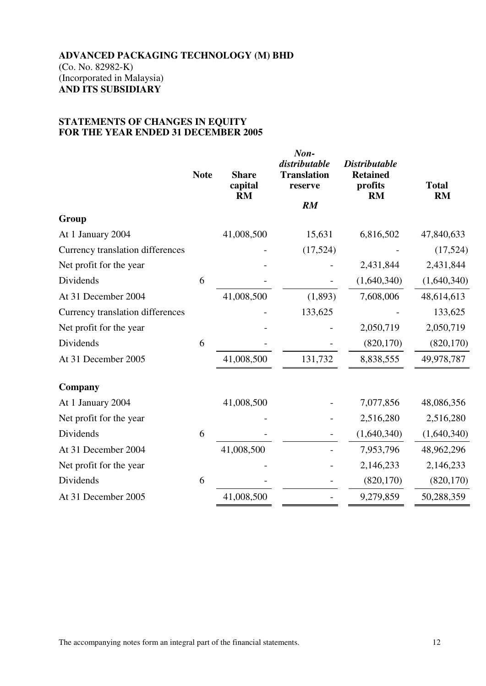#### **STATEMENTS OF CHANGES IN EQUITY FOR THE YEAR ENDED 31 DECEMBER 2005**

|                                  | <b>Note</b> | <b>Share</b><br>capital<br><b>RM</b> | Non-<br>distributable<br><b>Translation</b><br>reserve | <b>Distributable</b><br><b>Retained</b><br>profits<br><b>RM</b> | <b>Total</b><br><b>RM</b> |
|----------------------------------|-------------|--------------------------------------|--------------------------------------------------------|-----------------------------------------------------------------|---------------------------|
|                                  |             |                                      | RM                                                     |                                                                 |                           |
| Group                            |             |                                      |                                                        |                                                                 |                           |
| At 1 January 2004                |             | 41,008,500                           | 15,631                                                 | 6,816,502                                                       | 47,840,633                |
| Currency translation differences |             |                                      | (17,524)                                               |                                                                 | (17,524)                  |
| Net profit for the year          |             |                                      |                                                        | 2,431,844                                                       | 2,431,844                 |
| Dividends                        | 6           |                                      |                                                        | (1,640,340)                                                     | (1,640,340)               |
| At 31 December 2004              |             | 41,008,500                           | (1,893)                                                | 7,608,006                                                       | 48,614,613                |
| Currency translation differences |             |                                      | 133,625                                                |                                                                 | 133,625                   |
| Net profit for the year          |             |                                      |                                                        | 2,050,719                                                       | 2,050,719                 |
| Dividends                        | 6           |                                      |                                                        | (820, 170)                                                      | (820, 170)                |
| At 31 December 2005              |             | 41,008,500                           | 131,732                                                | 8,838,555                                                       | 49,978,787                |
| Company                          |             |                                      |                                                        |                                                                 |                           |
| At 1 January 2004                |             | 41,008,500                           |                                                        | 7,077,856                                                       | 48,086,356                |
| Net profit for the year          |             |                                      |                                                        | 2,516,280                                                       | 2,516,280                 |
| Dividends                        | 6           |                                      |                                                        | (1,640,340)                                                     | (1,640,340)               |
| At 31 December 2004              |             | 41,008,500                           |                                                        | 7,953,796                                                       | 48,962,296                |
| Net profit for the year          |             |                                      |                                                        | 2,146,233                                                       | 2,146,233                 |
| Dividends                        | 6           |                                      |                                                        | (820, 170)                                                      | (820, 170)                |
| At 31 December 2005              |             | 41,008,500                           |                                                        | 9,279,859                                                       | 50,288,359                |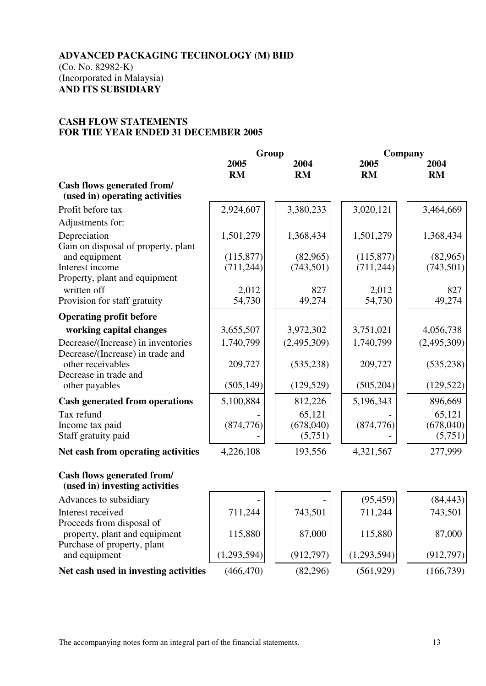#### **CASH FLOW STATEMENTS FOR THE YEAR ENDED 31 DECEMBER 2005**

|                                                                         | Group             |                      | Company           |                      |
|-------------------------------------------------------------------------|-------------------|----------------------|-------------------|----------------------|
|                                                                         | 2005<br><b>RM</b> | 2004<br><b>RM</b>    | 2005<br><b>RM</b> | 2004<br><b>RM</b>    |
| Cash flows generated from/<br>(used in) operating activities            |                   |                      |                   |                      |
| Profit before tax                                                       | 2,924,607         | 3,380,233            | 3,020,121         | 3,464,669            |
| Adjustments for:                                                        |                   |                      |                   |                      |
| Depreciation                                                            | 1,501,279         | 1,368,434            | 1,501,279         | 1,368,434            |
| Gain on disposal of property, plant<br>and equipment<br>Interest income | (115, 877)        | (82,965)             | (115, 877)        | (82,965)             |
| Property, plant and equipment                                           | (711, 244)        | (743, 501)           | (711, 244)        | (743, 501)           |
| written off<br>Provision for staff gratuity                             | 2,012<br>54,730   | 827<br>49,274        | 2,012<br>54,730   | 827<br>49,274        |
| <b>Operating profit before</b>                                          |                   |                      |                   |                      |
| working capital changes                                                 | 3,655,507         | 3,972,302            | 3,751,021         | 4,056,738            |
| Decrease/(Increase) in inventories<br>Decrease/(Increase) in trade and  | 1,740,799         | (2,495,309)          | 1,740,799         | (2,495,309)          |
| other receivables<br>Decrease in trade and                              | 209,727           | (535, 238)           | 209,727           | (535, 238)           |
| other payables                                                          | (505, 149)        | (129, 529)           | (505, 204)        | (129, 522)           |
| <b>Cash generated from operations</b>                                   | 5,100,884         | 812,226              | 5,196,343         | 896,669              |
| Tax refund                                                              |                   | 65,121               |                   | 65,121               |
| Income tax paid<br>Staff gratuity paid                                  | (874, 776)        | (678,040)<br>(5,751) | (874, 776)        | (678,040)<br>(5,751) |
| Net cash from operating activities                                      | 4,226,108         | 193,556              | 4,321,567         | 277,999              |
| Cash flows generated from/<br>(used in) investing activities            |                   |                      |                   |                      |
| Advances to subsidiary                                                  |                   |                      | (95, 459)         | (84, 443)            |
| Interest received<br>Proceeds from disposal of                          | 711,244           | 743,501              | 711,244           | 743,501              |
| property, plant and equipment<br>Purchase of property, plant            | 115,880           | 87,000               | 115,880           | 87,000               |
| and equipment                                                           | (1,293,594)       | (912, 797)           | (1,293,594)       | (912, 797)           |
| Net cash used in investing activities                                   | (466, 470)        | (82, 296)            | (561, 929)        | (166, 739)           |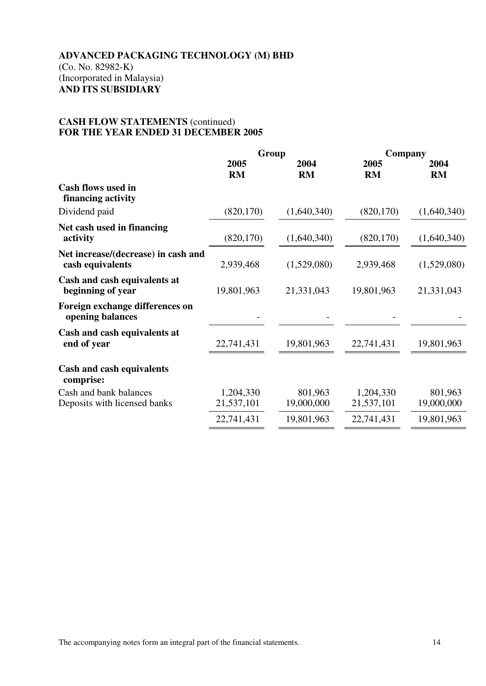#### **CASH FLOW STATEMENTS** (continued) **FOR THE YEAR ENDED 31 DECEMBER 2005**

|                                                         | Group                   |                       | Company                 |                       |
|---------------------------------------------------------|-------------------------|-----------------------|-------------------------|-----------------------|
|                                                         | 2005<br><b>RM</b>       | 2004<br><b>RM</b>     | 2005<br><b>RM</b>       | 2004<br><b>RM</b>     |
| <b>Cash flows used in</b><br>financing activity         |                         |                       |                         |                       |
| Dividend paid                                           | (820, 170)              | (1,640,340)           | (820, 170)              | (1,640,340)           |
| Net cash used in financing<br>activity                  | (820, 170)              | (1,640,340)           | (820, 170)              | (1,640,340)           |
| Net increase/(decrease) in cash and<br>cash equivalents | 2,939,468               | (1,529,080)           | 2,939,468               | (1,529,080)           |
| Cash and cash equivalents at<br>beginning of year       | 19,801,963              | 21,331,043            | 19,801,963              | 21,331,043            |
| Foreign exchange differences on<br>opening balances     |                         |                       |                         |                       |
| Cash and cash equivalents at<br>end of year             | 22,741,431              | 19,801,963            | 22,741,431              | 19,801,963            |
| <b>Cash and cash equivalents</b><br>comprise:           |                         |                       |                         |                       |
| Cash and bank balances<br>Deposits with licensed banks  | 1,204,330<br>21,537,101 | 801,963<br>19,000,000 | 1,204,330<br>21,537,101 | 801,963<br>19,000,000 |
|                                                         | 22,741,431              | 19,801,963            | 22,741,431              | 19,801,963            |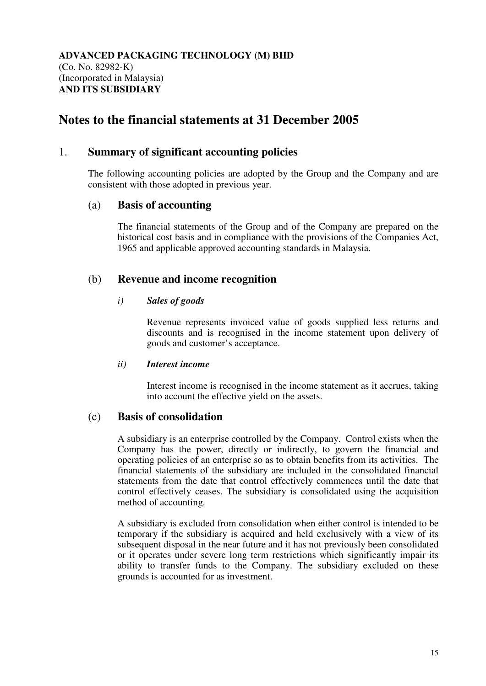# **Notes to the financial statements at 31 December 2005**

## 1. **Summary of significant accounting policies**

The following accounting policies are adopted by the Group and the Company and are consistent with those adopted in previous year.

## (a) **Basis of accounting**

 The financial statements of the Group and of the Company are prepared on the historical cost basis and in compliance with the provisions of the Companies Act, 1965 and applicable approved accounting standards in Malaysia.

# (b) **Revenue and income recognition**

#### *i) Sales of goods*

Revenue represents invoiced value of goods supplied less returns and discounts and is recognised in the income statement upon delivery of goods and customer's acceptance.

#### *ii) Interest income*

 Interest income is recognised in the income statement as it accrues, taking into account the effective yield on the assets.

# (c) **Basis of consolidation**

 A subsidiary is an enterprise controlled by the Company. Control exists when the Company has the power, directly or indirectly, to govern the financial and operating policies of an enterprise so as to obtain benefits from its activities. The financial statements of the subsidiary are included in the consolidated financial statements from the date that control effectively commences until the date that control effectively ceases. The subsidiary is consolidated using the acquisition method of accounting.

 A subsidiary is excluded from consolidation when either control is intended to be temporary if the subsidiary is acquired and held exclusively with a view of its subsequent disposal in the near future and it has not previously been consolidated or it operates under severe long term restrictions which significantly impair its ability to transfer funds to the Company. The subsidiary excluded on these grounds is accounted for as investment.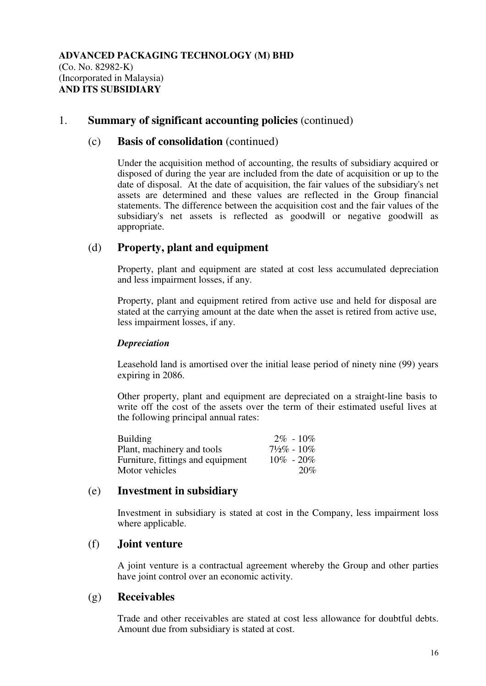### (c) **Basis of consolidation** (continued)

Under the acquisition method of accounting, the results of subsidiary acquired or disposed of during the year are included from the date of acquisition or up to the date of disposal. At the date of acquisition, the fair values of the subsidiary's net assets are determined and these values are reflected in the Group financial statements. The difference between the acquisition cost and the fair values of the subsidiary's net assets is reflected as goodwill or negative goodwill as appropriate.

## (d) **Property, plant and equipment**

Property, plant and equipment are stated at cost less accumulated depreciation and less impairment losses, if any.

 Property, plant and equipment retired from active use and held for disposal are stated at the carrying amount at the date when the asset is retired from active use, less impairment losses, if any.

#### *Depreciation*

Leasehold land is amortised over the initial lease period of ninety nine (99) years expiring in 2086.

 Other property, plant and equipment are depreciated on a straight-line basis to write off the cost of the assets over the term of their estimated useful lives at the following principal annual rates:

| <b>Building</b>                   | $2\% - 10\%$              |
|-----------------------------------|---------------------------|
| Plant, machinery and tools        | $7\frac{1}{2}\%$ - $10\%$ |
| Furniture, fittings and equipment | $10\% - 20\%$             |
| Motor vehicles                    | 20%                       |

## (e) **Investment in subsidiary**

 Investment in subsidiary is stated at cost in the Company, less impairment loss where applicable.

#### (f) **Joint venture**

A joint venture is a contractual agreement whereby the Group and other parties have joint control over an economic activity.

## (g) **Receivables**

Trade and other receivables are stated at cost less allowance for doubtful debts. Amount due from subsidiary is stated at cost.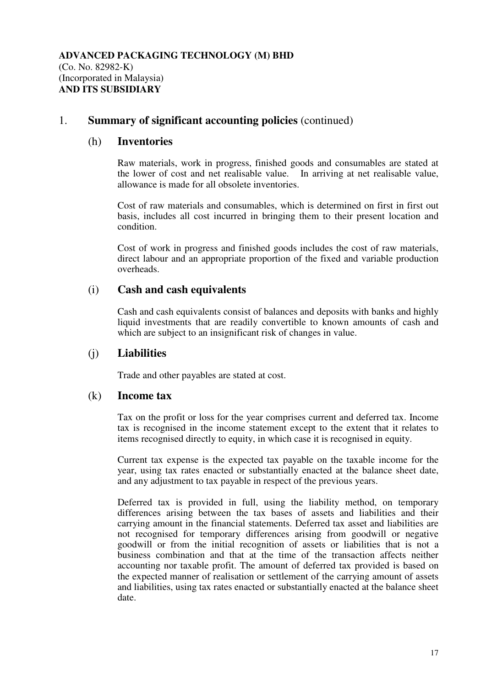## (h) **Inventories**

 Raw materials, work in progress, finished goods and consumables are stated at the lower of cost and net realisable value. In arriving at net realisable value, allowance is made for all obsolete inventories.

 Cost of raw materials and consumables, which is determined on first in first out basis, includes all cost incurred in bringing them to their present location and condition.

Cost of work in progress and finished goods includes the cost of raw materials, direct labour and an appropriate proportion of the fixed and variable production overheads.

# (i) **Cash and cash equivalents**

 Cash and cash equivalents consist of balances and deposits with banks and highly liquid investments that are readily convertible to known amounts of cash and which are subject to an insignificant risk of changes in value.

# (j) **Liabilities**

Trade and other payables are stated at cost.

## (k) **Income tax**

Tax on the profit or loss for the year comprises current and deferred tax. Income tax is recognised in the income statement except to the extent that it relates to items recognised directly to equity, in which case it is recognised in equity.

Current tax expense is the expected tax payable on the taxable income for the year, using tax rates enacted or substantially enacted at the balance sheet date, and any adjustment to tax payable in respect of the previous years.

 Deferred tax is provided in full, using the liability method, on temporary differences arising between the tax bases of assets and liabilities and their carrying amount in the financial statements. Deferred tax asset and liabilities are not recognised for temporary differences arising from goodwill or negative goodwill or from the initial recognition of assets or liabilities that is not a business combination and that at the time of the transaction affects neither accounting nor taxable profit. The amount of deferred tax provided is based on the expected manner of realisation or settlement of the carrying amount of assets and liabilities, using tax rates enacted or substantially enacted at the balance sheet date.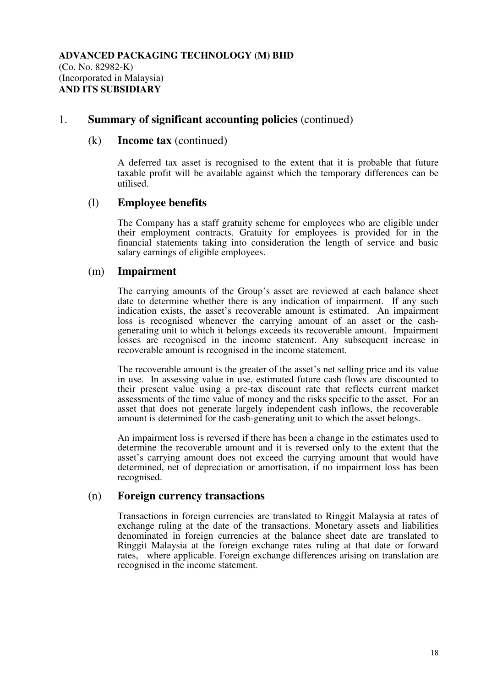### (k) **Income tax** (continued)

A deferred tax asset is recognised to the extent that it is probable that future taxable profit will be available against which the temporary differences can be utilised.

## (l) **Employee benefits**

 The Company has a staff gratuity scheme for employees who are eligible under their employment contracts. Gratuity for employees is provided for in the financial statements taking into consideration the length of service and basic salary earnings of eligible employees.

## (m) **Impairment**

 The carrying amounts of the Group's asset are reviewed at each balance sheet date to determine whether there is any indication of impairment. If any such indication exists, the asset's recoverable amount is estimated. An impairment loss is recognised whenever the carrying amount of an asset or the cash generating unit to which it belongs exceeds its recoverable amount. Impairment losses are recognised in the income statement. Any subsequent increase in recoverable amount is recognised in the income statement.

 The recoverable amount is the greater of the asset's net selling price and its value in use. In assessing value in use, estimated future cash flows are discounted to their present value using a pre-tax discount rate that reflects current market assessments of the time value of money and the risks specific to the asset. For an asset that does not generate largely independent cash inflows, the recoverable amount is determined for the cash-generating unit to which the asset belongs.

 An impairment loss is reversed if there has been a change in the estimates used to determine the recoverable amount and it is reversed only to the extent that the asset's carrying amount does not exceed the carrying amount that would have determined, net of depreciation or amortisation, if no impairment loss has been recognised.

## (n) **Foreign currency transactions**

Transactions in foreign currencies are translated to Ringgit Malaysia at rates of exchange ruling at the date of the transactions. Monetary assets and liabilities denominated in foreign currencies at the balance sheet date are translated to Ringgit Malaysia at the foreign exchange rates ruling at that date or forward rates, where applicable. Foreign exchange differences arising on translation are recognised in the income statement.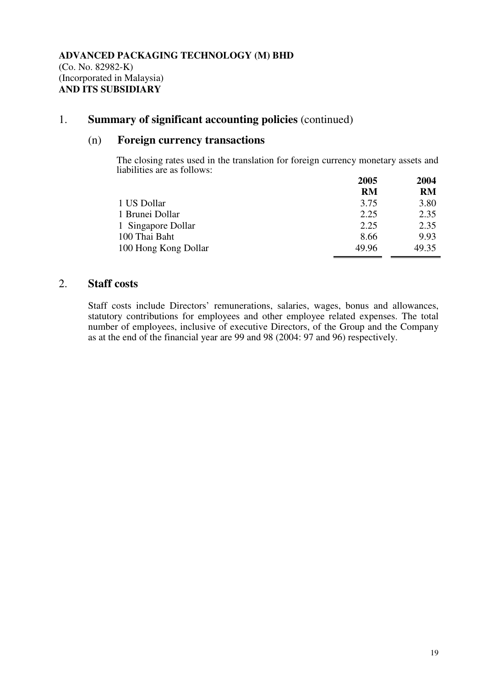## (n) **Foreign currency transactions**

The closing rates used in the translation for foreign currency monetary assets and liabilities are as follows:

|                      | 2005      | 2004      |
|----------------------|-----------|-----------|
|                      | <b>RM</b> | <b>RM</b> |
| 1 US Dollar          | 3.75      | 3.80      |
| 1 Brunei Dollar      | 2.25      | 2.35      |
| 1 Singapore Dollar   | 2.25      | 2.35      |
| 100 Thai Baht        | 8.66      | 9.93      |
| 100 Hong Kong Dollar | 49.96     | 49.35     |

# 2. **Staff costs**

Staff costs include Directors' remunerations, salaries, wages, bonus and allowances, statutory contributions for employees and other employee related expenses. The total number of employees, inclusive of executive Directors, of the Group and the Company as at the end of the financial year are 99 and 98 (2004: 97 and 96) respectively.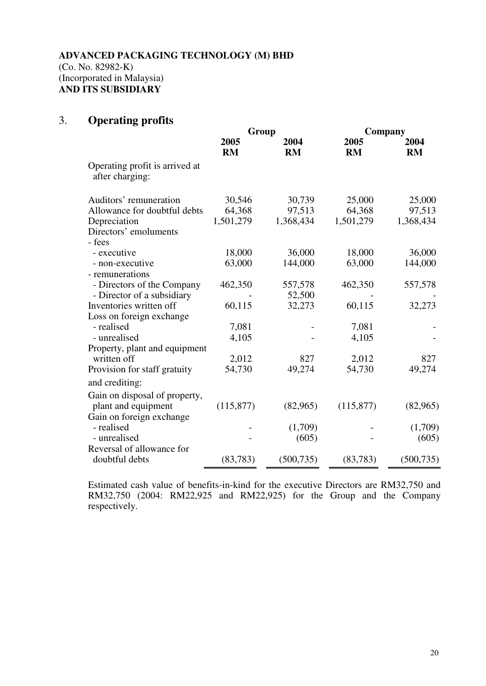# 3. **Operating profits**

|                                                   | Group      |            | Company    |            |
|---------------------------------------------------|------------|------------|------------|------------|
|                                                   | 2005       | 2004       | 2005       | 2004       |
|                                                   | RM         | RM         | RM         | <b>RM</b>  |
| Operating profit is arrived at<br>after charging: |            |            |            |            |
| Auditors' remuneration                            | 30,546     | 30,739     | 25,000     | 25,000     |
| Allowance for doubtful debts                      | 64,368     | 97,513     | 64,368     | 97,513     |
| Depreciation                                      | 1,501,279  | 1,368,434  | 1,501,279  | 1,368,434  |
| Directors' emoluments                             |            |            |            |            |
| - fees                                            |            |            |            |            |
| - executive                                       | 18,000     | 36,000     | 18,000     | 36,000     |
| - non-executive                                   | 63,000     | 144,000    | 63,000     | 144,000    |
| - remunerations                                   |            |            |            |            |
| - Directors of the Company                        | 462,350    | 557,578    | 462,350    | 557,578    |
| - Director of a subsidiary                        |            | 52,500     |            |            |
| Inventories written off                           | 60,115     | 32,273     | 60,115     | 32,273     |
| Loss on foreign exchange                          |            |            |            |            |
| - realised                                        | 7,081      |            | 7,081      |            |
| - unrealised                                      | 4,105      |            | 4,105      |            |
| Property, plant and equipment                     |            |            |            |            |
| written off                                       | 2,012      | 827        | 2,012      | 827        |
| Provision for staff gratuity                      | 54,730     | 49,274     | 54,730     | 49,274     |
| and crediting:                                    |            |            |            |            |
| Gain on disposal of property,                     |            |            |            |            |
| plant and equipment                               | (115, 877) | (82,965)   | (115, 877) | (82,965)   |
| Gain on foreign exchange                          |            |            |            |            |
| - realised                                        |            | (1,709)    |            | (1,709)    |
| - unrealised                                      |            | (605)      |            | (605)      |
| Reversal of allowance for                         |            |            |            |            |
| doubtful debts                                    | (83, 783)  | (500, 735) | (83, 783)  | (500, 735) |
|                                                   |            |            |            |            |

Estimated cash value of benefits-in-kind for the executive Directors are RM32,750 and RM32,750 (2004: RM22,925 and RM22,925) for the Group and the Company respectively.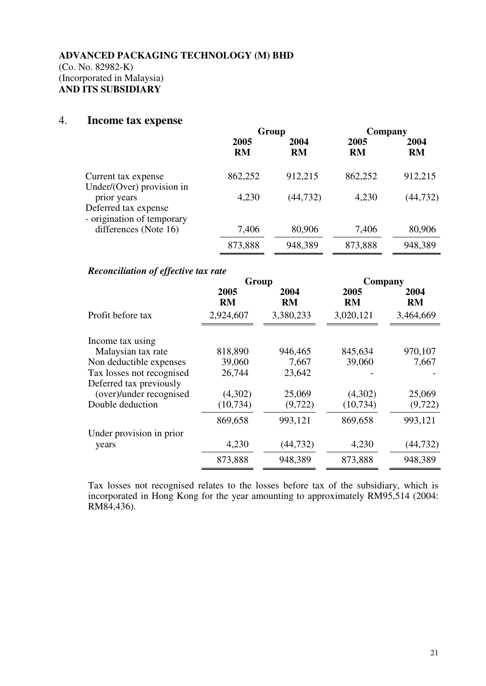## 4. **Income tax expense**

|                                                                   | Group             |                   | Company           |                   |
|-------------------------------------------------------------------|-------------------|-------------------|-------------------|-------------------|
|                                                                   | 2005<br><b>RM</b> | 2004<br><b>RM</b> | 2005<br><b>RM</b> | 2004<br><b>RM</b> |
| Current tax expense<br>Under/(Over) provision in                  | 862,252           | 912,215           | 862,252           | 912,215           |
| prior years<br>Deferred tax expense<br>- origination of temporary | 4,230             | (44, 732)         | 4,230             | (44, 732)         |
| differences (Note 16)                                             | 7,406             | 80,906            | 7,406             | 80,906            |
|                                                                   | 873,888           | 948,389           | 873,888           | 948,389           |

#### *Reconciliation of effective tax rate*

|                           | Group             |                   | Company           |                   |  |
|---------------------------|-------------------|-------------------|-------------------|-------------------|--|
|                           | 2005<br><b>RM</b> | 2004<br><b>RM</b> | 2005<br><b>RM</b> | 2004<br><b>RM</b> |  |
| Profit before tax         | 2,924,607         | 3,380,233         | 3,020,121         | 3,464,669         |  |
| Income tax using          |                   |                   |                   |                   |  |
| Malaysian tax rate        | 818,890           | 946,465           | 845,634           | 970,107           |  |
| Non deductible expenses   | 39,060            | 7,667             | 39,060            | 7,667             |  |
| Tax losses not recognised | 26,744            | 23,642            |                   |                   |  |
| Deferred tax previously   |                   |                   |                   |                   |  |
| (over)/under recognised   | (4,302)           | 25,069            | (4,302)           | 25,069            |  |
| Double deduction          | (10, 734)         | (9,722)           | (10, 734)         | (9, 722)          |  |
|                           | 869,658           | 993,121           | 869,658           | 993,121           |  |
| Under provision in prior  |                   |                   |                   |                   |  |
| years                     | 4,230             | (44, 732)         | 4,230             | (44, 732)         |  |
|                           | 873,888           | 948,389           | 873,888           | 948,389           |  |

Tax losses not recognised relates to the losses before tax of the subsidiary, which is incorporated in Hong Kong for the year amounting to approximately RM95,514 (2004: RM84,436).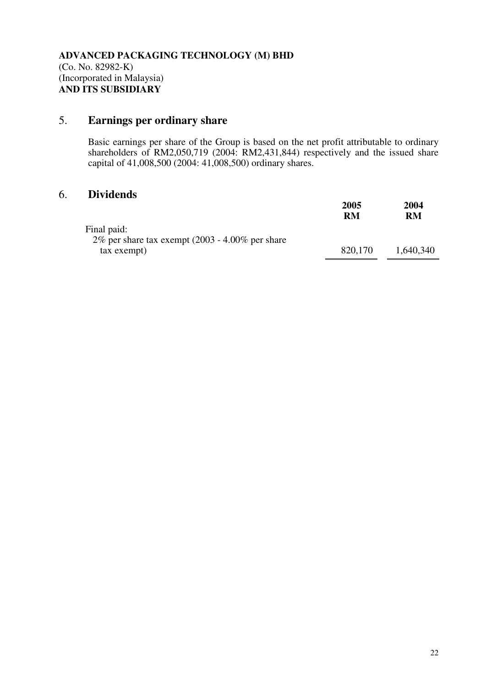# 5. **Earnings per ordinary share**

Basic earnings per share of the Group is based on the net profit attributable to ordinary shareholders of RM2,050,719 (2004: RM2,431,844) respectively and the issued share capital of 41,008,500 (2004: 41,008,500) ordinary shares.

# 6. **Dividends**

|                                                                   | 2005<br>RM | 2004<br>RM |
|-------------------------------------------------------------------|------------|------------|
| Final paid:<br>2% per share tax exempt $(2003 - 4.00\%$ per share |            |            |
| tax exempt)                                                       | 820,170    | 1,640,340  |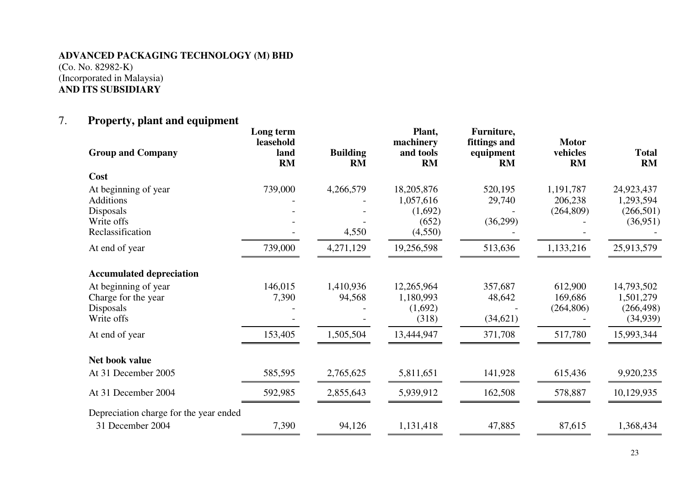# 7. **Property, plant and equipment**

| <b>Group and Company</b>                 | Long term<br>leasehold<br>land<br>RM | <b>Building</b><br><b>RM</b> | Plant,<br>machinery<br>and tools<br>RM | Furniture,<br>fittings and<br>equipment<br>RM | <b>Motor</b><br>vehicles<br><b>RM</b> | <b>Total</b><br>RM      |
|------------------------------------------|--------------------------------------|------------------------------|----------------------------------------|-----------------------------------------------|---------------------------------------|-------------------------|
| Cost                                     |                                      |                              |                                        |                                               |                                       |                         |
| At beginning of year<br><b>Additions</b> | 739,000                              | 4,266,579                    | 18,205,876<br>1,057,616                | 520,195<br>29,740                             | 1,191,787<br>206,238                  | 24,923,437<br>1,293,594 |
| Disposals                                |                                      |                              | (1,692)                                |                                               | (264, 809)                            | (266, 501)              |
| Write offs                               |                                      |                              | (652)                                  | (36,299)                                      |                                       | (36,951)                |
| Reclassification                         |                                      | 4,550                        | (4,550)                                |                                               |                                       |                         |
| At end of year                           | 739,000                              | 4,271,129                    | 19,256,598                             | 513,636                                       | 1,133,216                             | 25,913,579              |
| <b>Accumulated depreciation</b>          |                                      |                              |                                        |                                               |                                       |                         |
| At beginning of year                     | 146,015                              | 1,410,936                    | 12,265,964                             | 357,687                                       | 612,900                               | 14,793,502              |
| Charge for the year                      | 7,390                                | 94,568                       | 1,180,993                              | 48,642                                        | 169,686                               | 1,501,279               |
| Disposals                                |                                      |                              | (1,692)                                |                                               | (264, 806)                            | (266, 498)              |
| Write offs                               |                                      |                              | (318)                                  | (34,621)                                      |                                       | (34,939)                |
| At end of year                           | 153,405                              | 1,505,504                    | 13,444,947                             | 371,708                                       | 517,780                               | 15,993,344              |
| Net book value                           |                                      |                              |                                        |                                               |                                       |                         |
| At 31 December 2005                      | 585,595                              | 2,765,625                    | 5,811,651                              | 141,928                                       | 615,436                               | 9,920,235               |
| At 31 December 2004                      | 592,985                              | 2,855,643                    | 5,939,912                              | 162,508                                       | 578,887                               | 10,129,935              |
| Depreciation charge for the year ended   |                                      |                              |                                        |                                               |                                       |                         |
| 31 December 2004                         | 7,390                                | 94,126                       | 1,131,418                              | 47,885                                        | 87,615                                | 1,368,434               |
|                                          |                                      |                              |                                        |                                               |                                       |                         |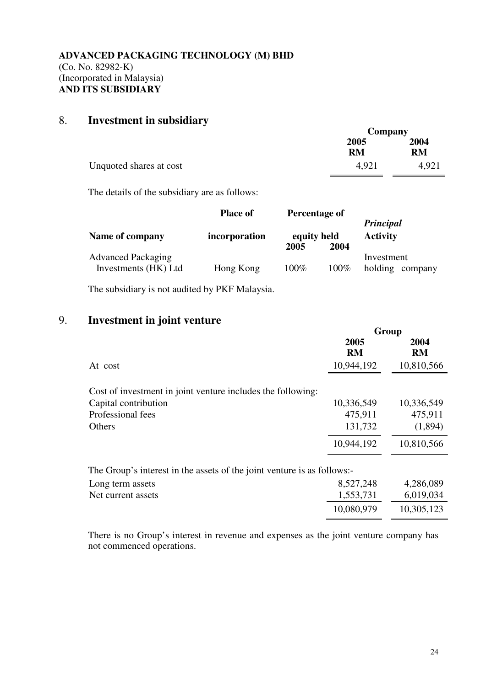# 8. **Investment in subsidiary**

|                         | Company           |            |  |
|-------------------------|-------------------|------------|--|
|                         | 2005<br><b>RM</b> | 2004<br>RM |  |
| Unquoted shares at cost | 4.921             | 4,921      |  |

The details of the subsidiary are as follows:

|                                                   | <b>Place of</b>                      | Percentage of |         | Principal                     |  |
|---------------------------------------------------|--------------------------------------|---------------|---------|-------------------------------|--|
| Name of company                                   | equity held<br>incorporation<br>2005 |               | 2004    | <b>Activity</b>               |  |
| <b>Advanced Packaging</b><br>Investments (HK) Ltd | Hong Kong                            | $100\%$       | $100\%$ | Investment<br>holding company |  |

The subsidiary is not audited by PKF Malaysia.

# 9. **Investment in joint venture**

|                                                                                     | Group             |                   |  |
|-------------------------------------------------------------------------------------|-------------------|-------------------|--|
|                                                                                     | 2005<br><b>RM</b> | 2004<br><b>RM</b> |  |
| At cost                                                                             | 10,944,192        | 10,810,566        |  |
| Cost of investment in joint venture includes the following:<br>Capital contribution | 10,336,549        | 10,336,549        |  |
| Professional fees                                                                   | 475,911           | 475,911           |  |
| Others                                                                              | 131,732           | (1,894)           |  |
|                                                                                     | 10,944,192        | 10,810,566        |  |
| The Group's interest in the assets of the joint venture is as follows:-             |                   |                   |  |
| Long term assets                                                                    | 8,527,248         | 4,286,089         |  |
| Net current assets                                                                  | 1,553,731         | 6,019,034         |  |
|                                                                                     | 10,080,979        | 10,305,123        |  |

There is no Group's interest in revenue and expenses as the joint venture company has not commenced operations.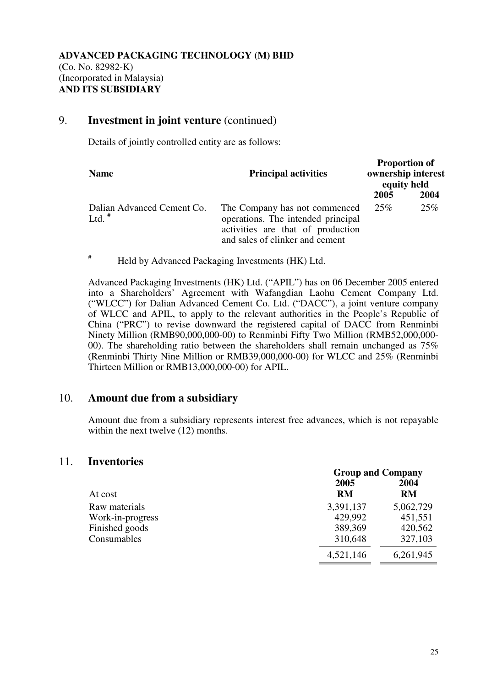## 9. **Investment in joint venture** (continued)

Details of jointly controlled entity are as follows:

| <b>Name</b>                            | <b>Principal activities</b>                                                                                                                 | <b>Proportion of</b><br>ownership interest<br>equity held |      |
|----------------------------------------|---------------------------------------------------------------------------------------------------------------------------------------------|-----------------------------------------------------------|------|
|                                        |                                                                                                                                             | 2005                                                      | 2004 |
| Dalian Advanced Cement Co.<br>Ltd. $#$ | The Company has not commenced<br>operations. The intended principal<br>activities are that of production<br>and sales of clinker and cement | 25%                                                       | 25%  |

# Held by Advanced Packaging Investments (HK) Ltd.

Advanced Packaging Investments (HK) Ltd. ("APIL") has on 06 December 2005 entered into a Shareholders' Agreement with Wafangdian Laohu Cement Company Ltd. ("WLCC") for Dalian Advanced Cement Co. Ltd. ("DACC"), a joint venture company of WLCC and APIL, to apply to the relevant authorities in the People's Republic of China ("PRC") to revise downward the registered capital of DACC from Renminbi Ninety Million (RMB90,000,000-00) to Renminbi Fifty Two Million (RMB52,000,000- 00). The shareholding ratio between the shareholders shall remain unchanged as 75% (Renminbi Thirty Nine Million or RMB39,000,000-00) for WLCC and 25% (Renminbi Thirteen Million or RMB13,000,000-00) for APIL.

# 10. **Amount due from a subsidiary**

 Amount due from a subsidiary represents interest free advances, which is not repayable within the next twelve  $(12)$  months.

#### 11. **Inventories**

|                  | <b>Group and Company</b> |           |  |
|------------------|--------------------------|-----------|--|
|                  | 2005                     | 2004      |  |
| At cost          | <b>RM</b>                | RM        |  |
| Raw materials    | 3,391,137                | 5,062,729 |  |
| Work-in-progress | 429,992                  | 451,551   |  |
| Finished goods   | 389,369                  | 420,562   |  |
| Consumables      | 310,648                  | 327,103   |  |
|                  | 4,521,146                | 6,261,945 |  |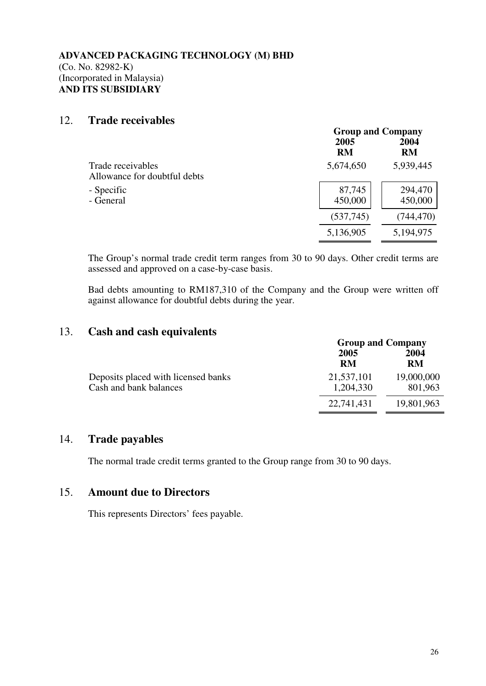## 12. **Trade receivables**

|                                                   |                   | <b>Group and Company</b> |  |  |
|---------------------------------------------------|-------------------|--------------------------|--|--|
|                                                   | 2005<br><b>RM</b> | 2004<br>RM               |  |  |
| Trade receivables<br>Allowance for doubtful debts | 5,674,650         | 5,939,445                |  |  |
| - Specific<br>- General                           | 87,745<br>450,000 | 294,470<br>450,000       |  |  |
|                                                   | (537,745)         | (744, 470)               |  |  |
|                                                   | 5,136,905         | 5,194,975                |  |  |

The Group's normal trade credit term ranges from 30 to 90 days. Other credit terms are assessed and approved on a case-by-case basis.

Bad debts amounting to RM187,310 of the Company and the Group were written off against allowance for doubtful debts during the year.

# 13. **Cash and cash equivalents**

|                                                               | <b>Group and Company</b> |                       |  |
|---------------------------------------------------------------|--------------------------|-----------------------|--|
|                                                               | 2005<br>RM               | 2004<br><b>RM</b>     |  |
| Deposits placed with licensed banks<br>Cash and bank balances | 21,537,101<br>1,204,330  | 19,000,000<br>801,963 |  |
|                                                               | 22,741,431               | 19,801,963            |  |

# 14. **Trade payables**

The normal trade credit terms granted to the Group range from 30 to 90 days.

## 15. **Amount due to Directors**

This represents Directors' fees payable.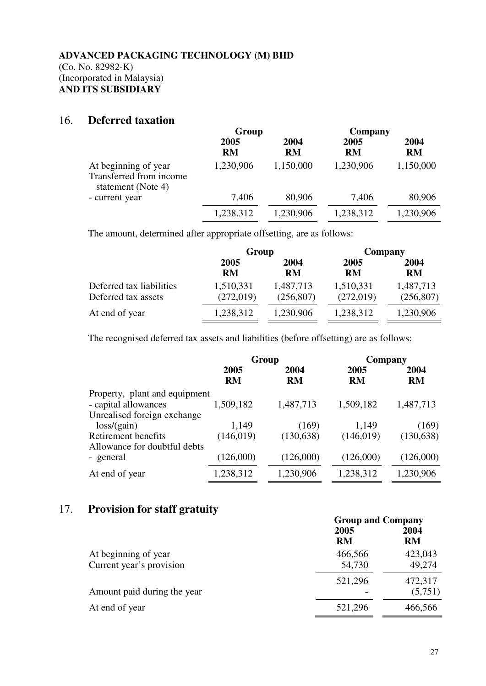## 16. **Deferred taxation**

|                                                                       | Group             |            | Company           |                   |
|-----------------------------------------------------------------------|-------------------|------------|-------------------|-------------------|
|                                                                       | 2005<br><b>RM</b> | 2004<br>RM | 2005<br><b>RM</b> | 2004<br><b>RM</b> |
| At beginning of year<br>Transferred from income<br>statement (Note 4) | 1,230,906         | 1,150,000  | 1,230,906         | 1,150,000         |
| - current year                                                        | 7,406             | 80,906     | 7,406             | 80,906            |
|                                                                       | 1,238,312         | 1,230,906  | 1,238,312         | 1,230,906         |

The amount, determined after appropriate offsetting, are as follows:

|                          | Group     |            | Company   |            |  |
|--------------------------|-----------|------------|-----------|------------|--|
|                          | 2005      | 2004       | 2005      | 2004       |  |
|                          | <b>RM</b> | <b>RM</b>  | <b>RM</b> | <b>RM</b>  |  |
| Deferred tax liabilities | 1,510,331 | 1,487,713  | 1,510,331 | 1,487,713  |  |
| Deferred tax assets      | (272,019) | (256, 807) | (272,019) | (256, 807) |  |
| At end of year           | 1,238,312 | 1,230,906  | 1,238,312 | 1,230,906  |  |

The recognised deferred tax assets and liabilities (before offsetting) are as follows:

|                               | Group      |            | Company   |            |
|-------------------------------|------------|------------|-----------|------------|
|                               | 2005       | 2004       | 2005      | 2004       |
|                               | <b>RM</b>  | <b>RM</b>  | <b>RM</b> | <b>RM</b>  |
| Property, plant and equipment |            |            |           |            |
| - capital allowances          | 1,509,182  | 1,487,713  | 1,509,182 | 1,487,713  |
| Unrealised foreign exchange   |            |            |           |            |
| loss/(gain)                   | 1,149      | (169)      | 1,149     | (169)      |
| Retirement benefits           | (146, 019) | (130, 638) | (146,019) | (130, 638) |
| Allowance for doubtful debts  |            |            |           |            |
| - general                     | (126,000)  | (126,000)  | (126,000) | (126,000)  |
| At end of year                | 1,238,312  | 1,230,906  | 1,238,312 | 1,230,906  |

# 17. **Provision for staff gratuity**

|                             | <b>Group and Company</b> |           |  |
|-----------------------------|--------------------------|-----------|--|
|                             | 2005                     | 2004      |  |
|                             | <b>RM</b>                | <b>RM</b> |  |
| At beginning of year        | 466,566                  | 423,043   |  |
| Current year's provision    | 54,730                   | 49,274    |  |
|                             | 521,296                  | 472,317   |  |
| Amount paid during the year |                          | (5,751)   |  |
| At end of year              | 521,296                  | 466,566   |  |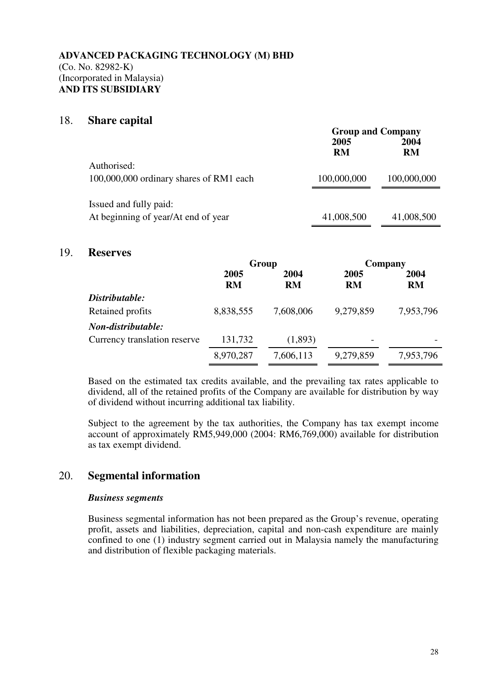### 18. **Share capital**

|                                         | <b>Group and Company</b> |             |  |
|-----------------------------------------|--------------------------|-------------|--|
|                                         | 2005                     | 2004        |  |
|                                         | <b>RM</b>                | <b>RM</b>   |  |
| Authorised:                             |                          |             |  |
| 100,000,000 ordinary shares of RM1 each | 100,000,000              | 100,000,000 |  |
|                                         |                          |             |  |
| Issued and fully paid:                  |                          |             |  |
| At beginning of year/At end of year     | 41,008,500               | 41,008,500  |  |

#### 19. **Reserves**

|                              | Group             |            | Company           |            |
|------------------------------|-------------------|------------|-------------------|------------|
|                              | 2005<br><b>RM</b> | 2004<br>RM | 2005<br><b>RM</b> | 2004<br>RM |
| Distributable:               |                   |            |                   |            |
| Retained profits             | 8,838,555         | 7,608,006  | 9,279,859         | 7,953,796  |
| Non-distributable:           |                   |            |                   |            |
| Currency translation reserve | 131,732           | (1,893)    |                   |            |
|                              | 8,970,287         | 7,606,113  | 9,279,859         | 7,953,796  |

Based on the estimated tax credits available, and the prevailing tax rates applicable to dividend, all of the retained profits of the Company are available for distribution by way of dividend without incurring additional tax liability.

Subject to the agreement by the tax authorities, the Company has tax exempt income account of approximately RM5,949,000 (2004: RM6,769,000) available for distribution as tax exempt dividend.

# 20. **Segmental information**

#### *Business segments*

Business segmental information has not been prepared as the Group's revenue, operating profit, assets and liabilities, depreciation, capital and non-cash expenditure are mainly confined to one (1) industry segment carried out in Malaysia namely the manufacturing and distribution of flexible packaging materials.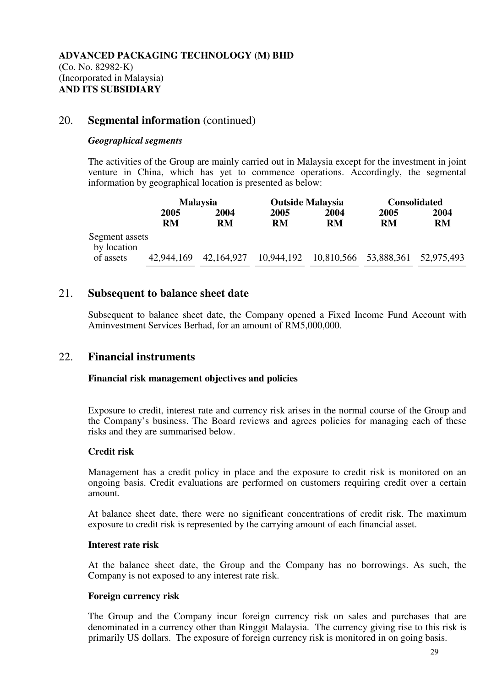# 20. **Segmental information** (continued)

#### *Geographical segments*

The activities of the Group are mainly carried out in Malaysia except for the investment in joint venture in China, which has yet to commence operations. Accordingly, the segmental information by geographical location is presented as below:

|                               | <b>Malaysia</b> |            | <b>Outside Malaysia</b> |           | <b>Consolidated</b>              |      |
|-------------------------------|-----------------|------------|-------------------------|-----------|----------------------------------|------|
|                               | 2005            | 2004       | 2005                    | 2004      | 2005                             | 2004 |
|                               | RM              | <b>RM</b>  | <b>RM</b>               | <b>RM</b> | <b>RM</b>                        | RM   |
| Segment assets<br>by location |                 |            |                         |           |                                  |      |
| of assets                     | 42,944,169      | 42,164,927 | 10,944,192              |           | 10,810,566 53,888,361 52,975,493 |      |

# 21. **Subsequent to balance sheet date**

Subsequent to balance sheet date, the Company opened a Fixed Income Fund Account with Aminvestment Services Berhad, for an amount of RM5,000,000.

# 22. **Financial instruments**

#### **Financial risk management objectives and policies**

Exposure to credit, interest rate and currency risk arises in the normal course of the Group and the Company's business. The Board reviews and agrees policies for managing each of these risks and they are summarised below.

## **Credit risk**

 Management has a credit policy in place and the exposure to credit risk is monitored on an ongoing basis. Credit evaluations are performed on customers requiring credit over a certain amount.

 At balance sheet date, there were no significant concentrations of credit risk. The maximum exposure to credit risk is represented by the carrying amount of each financial asset.

#### **Interest rate risk**

 At the balance sheet date, the Group and the Company has no borrowings. As such, the Company is not exposed to any interest rate risk.

#### **Foreign currency risk**

The Group and the Company incur foreign currency risk on sales and purchases that are denominated in a currency other than Ringgit Malaysia. The currency giving rise to this risk is primarily US dollars. The exposure of foreign currency risk is monitored in on going basis.